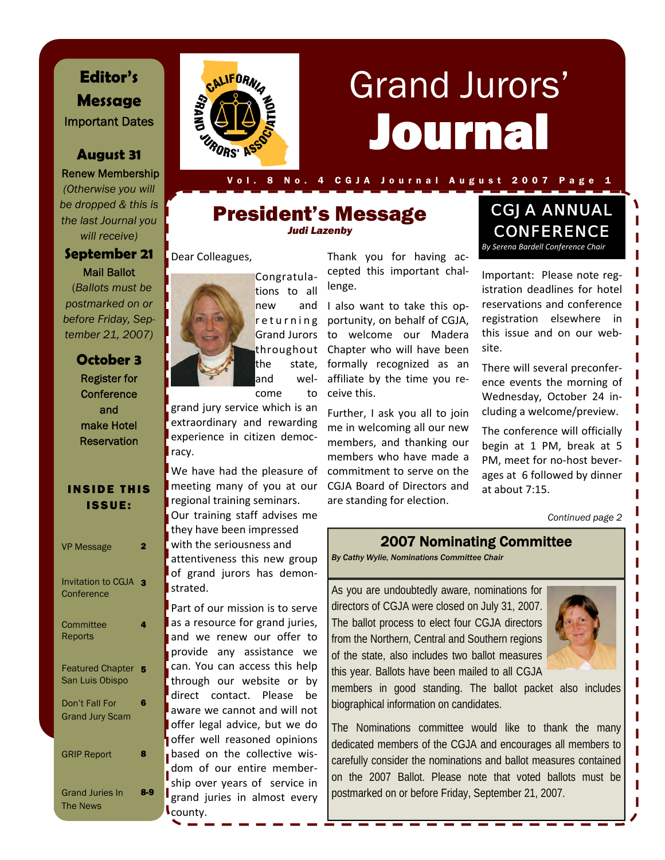# **Editor's Message**  Important Dates

### **August 31**

Renew Membership *(Otherwise you will be dropped & this is the last Journal you will receive)* 

#### **September 21**  Mail Ballot

 (*Ballots must be postmarked on or before Friday, September 21, 2007)* 

# **October 3**

Register for **Conference** and make Hotel **Reservation** 

#### INSIDE THIS ISSUE:

| <b>VP Message</b>                          | 2                       |
|--------------------------------------------|-------------------------|
| <b>Invitation to CGJA</b><br>Conference    | $\overline{\mathbf{z}}$ |
| Committee<br>Reports                       | 4                       |
| <b>Featured Chapter</b><br>San Luis Obispo | Б                       |
| Don't Fall For<br><b>Grand Jury Scam</b>   | 6                       |
| <b>GRIP Report</b>                         | 8                       |
| <b>Grand Juries In</b><br><b>The News</b>  | 83                      |



# Journal Grand Jurors'

8 No. 4 C G J A J ournal August 2007 Page 1

## President's Message *Judi Lazenby*

#### Dear Colleagues,



grand jury service which is an extraordinary and rewarding experience in citizen democ‐ racy.

meeting many of you at our regional training seminars. Our training staff advises me they have been impressed with the seriousness and attentiveness this new group of grand jurors has demon‐ strated.

as a resource for grand juries, and we renew our offer to provide any assistance we can. You can access this help through our website or by direct contact. Please be aware we cannot and will not offer legal advice, but we do offer well reasoned opinions based on the collective wisdom of our entire member‐ ship over years of service in grand juries in almost every county.

Thank you for having ac‐ cepted this important chal‐

returning portunity, on behalf of CGJA, Grand Jurors to welcome our Madera throughout Chapter who will have been and I also want to take this opformally recognized as an affiliate by the time you re‐ ceive this.

> Further, I ask you all to join me in welcoming all our new members, and thanking our members who have made a commitment to serve on the CGJA Board of Directors and are standing for election.

# CGJA ANNUAL **CONFERENCE** *By Serena Bardell Conference Chair*

Important: Please note reg‐ istration deadlines for hotel reservations and conference registration elsewhere in this issue and on our web‐ site.

There will several preconfer‐ ence events the morning of Wednesday, October 24 in‐ cluding a welcome/preview.

The conference will officially begin at 1 PM, break at 5 PM, meet for no‐host bever‐ ages at 6 followed by dinner at about 7:15.

*Continued page 2* 

#### 2007 Nominating Committee

*By Cathy Wylie, Nominations Committee Chair* 

As you are undoubtedly aware, nominations for directors of CGJA were closed on July 31, 2007. The ballot process to elect four CGJA directors from the Northern, Central and Southern regions of the state, also includes two ballot measures this year. Ballots have been mailed to all CGJA



members in good standing. The ballot packet also includes biographical information on candidates.

The Nominations committee would like to thank the many dedicated members of the CGJA and encourages all members to carefully consider the nominations and ballot measures contained on the 2007 Ballot. Please note that voted ballots must be postmarked on or before Friday, September 21, 2007.



the state, and wel‐

We have had the pleasure of

Part of our mission is to serve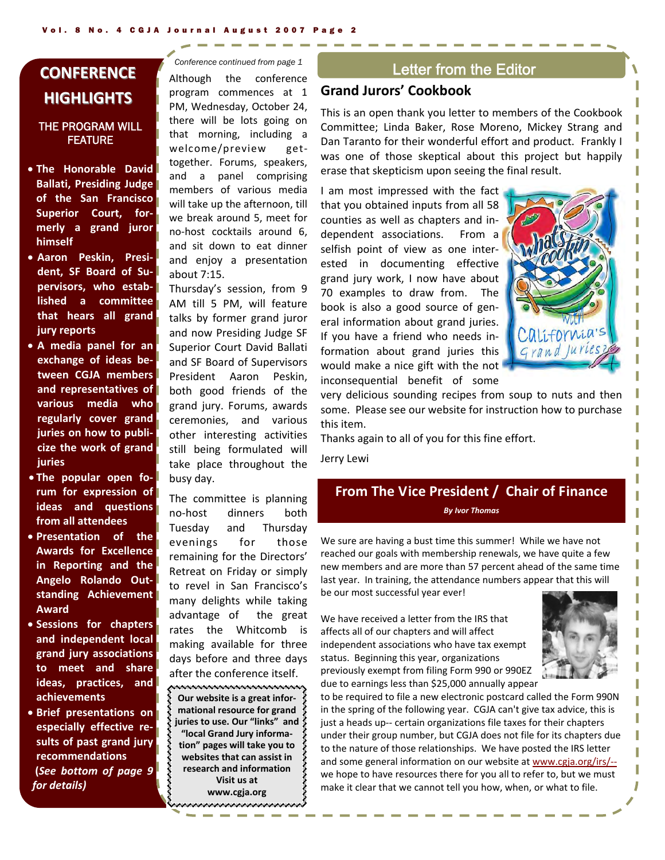# **CONFERENCE CONFERENCE HIGHLIGHTS HIGHLIGHTS**

#### THE PROGRAM WILL FEATURE

- **The Honorable David Ballati, Presiding Judge of the San Francisco Superior Court, for‐ merly a grand juror himself**
- **Aaron Peskin, Presi‐ dent, SF Board of Su‐ pervisors, who estab‐ lished a committee that hears all grand jury reports**
- **A media panel for an exchange of ideas be‐ tween CGJA members and representatives of various media who regularly cover grand juries on how to publi‐ cize the work of grand juries**
- **The popular open fo‐ rum for expression of ideas and questions from all attendees**
- **Presentation of the Awards for Excellence in Reporting and the Angelo Rolando Out‐ standing Achievement Award**
- **Sessions for chapters and independent local grand jury associations to meet and share ideas, practices, and achievements**
- **Brief presentations on especially effective re‐ sults of past grand jury recommendations (***See bottom of page 9 for details)*

*Conference continued from page 1* 

Although the conference program commences at 1 PM, Wednesday, October 24, there will be lots going on that morning, including a welcome/preview gettogether. Forums, speakers, and a panel comprising members of various media will take up the afternoon, till we break around 5, meet for no‐host cocktails around 6, and sit down to eat dinner and enjoy a presentation about 7:15.

Thursday's session, from 9 AM till 5 PM, will feature talks by former grand juror and now Presiding Judge SF Superior Court David Ballati and SF Board of Supervisors President Aaron Peskin, both good friends of the grand jury. Forums, awards ceremonies, and various other interesting activities still being formulated will take place throughout the busy day.

The committee is planning no‐host dinners both Tuesday and Thursday evenings for those remaining for the Directors' Retreat on Friday or simply to revel in San Francisco's many delights while taking advantage of the great rates the Whitcomb is making available for three days before and three days after the conference itself.

,,,,,,,,,,,,,,,,,,,,,,,,,,,,,,,,, **Our website is a great infor‐ mational resource for grand juries to use. Our "links" and "local Grand Jury informa‐ tion" pages will take you to websites that can assist in research and information Visit us at**

**www.cgja.org** في جو جو جو جو جو جو جو د جو د جو د جو جو شر شر شر شر شر شر شر شر

#### Letter from the Editor

#### **Grand Jurors' Cookbook**

This is an open thank you letter to members of the Cookbook Committee; Linda Baker, Rose Moreno, Mickey Strang and Dan Taranto for their wonderful effort and product. Frankly I was one of those skeptical about this project but happily erase that skepticism upon seeing the final result.

I am most impressed with the fact that you obtained inputs from all 58 counties as well as chapters and in‐ dependent associations. From a selfish point of view as one interested in documenting effective grand jury work, I now have about 70 examples to draw from. The book is also a good source of gen‐ eral information about grand juries. If you have a friend who needs in‐ formation about grand juries this would make a nice gift with the not inconsequential benefit of some



very delicious sounding recipes from soup to nuts and then some. Please see our website for instruction how to purchase this item.

Thanks again to all of you for this fine effort.

Jerry Lewi

#### **From The Vice President / Chair of Finance**  *By Ivor Thomas*

We sure are having a bust time this summer! While we have not reached our goals with membership renewals, we have quite a few new members and are more than 57 percent ahead of the same time last year. In training, the attendance numbers appear that this will

be our most successful year ever!

We have received a letter from the IRS that affects all of our chapters and will affect independent associations who have tax exempt status. Beginning this year, organizations previously exempt from filing Form 990 or 990EZ due to earnings less than \$25,000 annually appear



to be required to file a new electronic postcard called the Form 990N in the spring of the following year. CGJA can't give tax advice, this is just a heads up-- certain organizations file taxes for their chapters under their group number, but CGJA does not file for its chapters due to the nature of those relationships. We have posted the IRS letter and some general information on our website at www.cgja.org/irs/‐‐ we hope to have resources there for you all to refer to, but we must make it clear that we cannot tell you how, when, or what to file.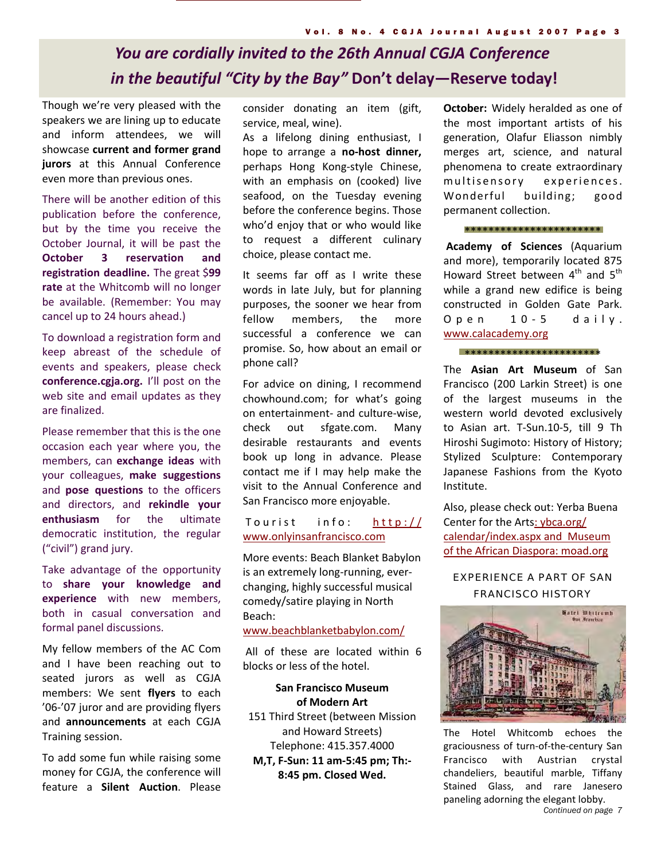# *You are cordially invited to the 26th Annual CGJA Conference in the beautiful "City by the Bay"* **Don't delay—Reserve today!**

Though we're very pleased with the speakers we are lining up to educate and inform attendees, we will showcase **current and former grand jurors** at this Annual Conference even more than previous ones.

There will be another edition of this publication before the conference, but by the time you receive the October Journal, it will be past the **October 3 reservation and registration deadline.** The great \$**99 rate** at the Whitcomb will no longer be available. (Remember: You may cancel up to 24 hours ahead.)

To download a registration form and keep abreast of the schedule of events and speakers, please check **conference.cgja.org.** I'll post on the web site and email updates as they are finalized.

Please remember that this is the one occasion each year where you, the members, can **exchange ideas** with your colleagues, **make suggestions** and **pose questions** to the officers and directors, and **rekindle your enthusiasm** for the ultimate democratic institution, the regular ("civil") grand jury.

Take advantage of the opportunity to **share your knowledge and experience** with new members, both in casual conversation and formal panel discussions.

My fellow members of the AC Com and I have been reaching out to seated jurors as well as CGJA members: We sent **flyers** to each '06‐'07 juror and are providing flyers and **announcements** at each CGJA Training session.

To add some fun while raising some money for CGJA, the conference will feature a **Silent Auction**. Please

consider donating an item (gift, service, meal, wine).

As a lifelong dining enthusiast, I hope to arrange a **no‐host dinner,** perhaps Hong Kong‐style Chinese, with an emphasis on (cooked) live seafood, on the Tuesday evening before the conference begins. Those who'd enjoy that or who would like to request a different culinary choice, please contact me.

It seems far off as I write these words in late July, but for planning purposes, the sooner we hear from fellow members, the more successful a conference we can promise. So, how about an email or phone call?

For advice on dining, I recommend chowhound.com; for what's going on entertainment‐ and culture‐wise, check out sfgate.com. Many desirable restaurants and events book up long in advance. Please contact me if I may help make the visit to the Annual Conference and San Francisco more enjoyable.

#### Tourist info: http:// www.onlyinsanfrancisco.com

More events: Beach Blanket Babylon is an extremely long‐running, ever‐ changing, highly successful musical comedy/satire playing in North Beach:

www.beachblanketbabylon.com/

All of these are located within 6 blocks or less of the hotel.

#### **San Francisco Museum of Modern Art**

151 Third Street (between Mission and Howard Streets) Telephone: 415.357.4000

**M,T, F‐Sun: 11 am‐5:45 pm; Th:‐ 8:45 pm. Closed Wed.**

**October:** Widely heralded as one of the most important artists of his generation, Olafur Eliasson nimbly merges art, science, and natural phenomena to create extraordinary multisensory experiences. Wonderful building; good permanent collection.

\*\*\*\*\*\*\*\*\*\*\*\*\*\*\*\*\*\*\*\*\*\*\*

**Academy of Sciences** (Aquarium and more), temporarily located 875 Howard Street between  $4^{th}$  and  $5^{th}$ while a grand new edifice is being constructed in Golden Gate Park. Open 10-5 daily. www.calacademy.org

\*\*\*\*\*\*\*\*\*\*\*\*\*\*\*\*\*\*\*\*\*\*\*

The **Asian Art Museum** of San Francisco (200 Larkin Street) is one of the largest museums in the western world devoted exclusively to Asian art. T‐Sun.10‐5, till 9 Th Hiroshi Sugimoto: History of History; Stylized Sculpture: Contemporary Japanese Fashions from the Kyoto Institute.

Also, please check out: Yerba Buena Center for the Arts: ybca.org/ calendar/index.aspx and Museum of the African Diaspora: moad.org

#### EXPERIENCE A PART OF SAN FRANCISCO HISTORY



The Hotel Whitcomb echoes the graciousness of turn‐of‐the‐century San Francisco with Austrian crystal chandeliers, beautiful marble, Tiffany Stained Glass, and rare Janesero paneling adorning the elegant lobby.

*Continued on page 7*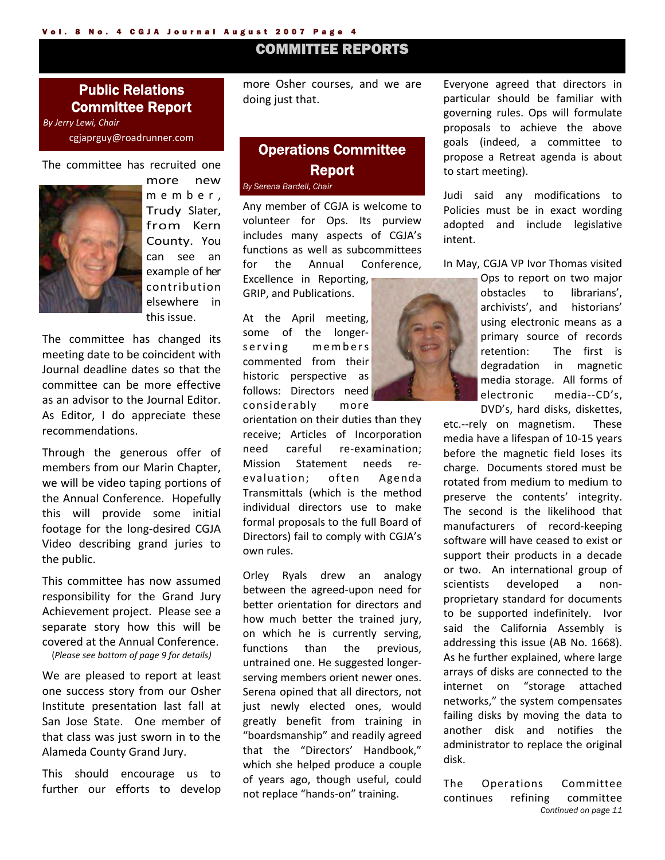### COMMITTEE REPORTS

#### Public Relations Committee Report

*By Jerry Lewi, Chair* cgjaprguy@roadrunner.com

The committee has recruited one



more new member, Trudy Slater, from Kern County. You can see an example of her contribution elsewhere in this issue.

The committee has changed its meeting date to be coincident with Journal deadline dates so that the committee can be more effective as an advisor to the Journal Editor. As Editor, I do appreciate these recommendations.

Through the generous offer of members from our Marin Chapter, we will be video taping portions of the Annual Conference. Hopefully this will provide some initial footage for the long‐desired CGJA Video describing grand juries to the public.

This committee has now assumed responsibility for the Grand Jury Achievement project. Please see a separate story how this will be covered at the Annual Conference. (*Please see bottom of page 9 for details)*

We are pleased to report at least one success story from our Osher Institute presentation last fall at San Jose State. One member of that class was just sworn in to the Alameda County Grand Jury.

This should encourage us to further our efforts to develop more Osher courses, and we are doing just that.

#### Operations Committee Report *By Serena Bardell, Chair*

Any member of CGJA is welcome to volunteer for Ops. Its purview includes many aspects of CGJA's functions as well as subcommittees for the Annual Conference, Excellence in Reporting,

GRIP, and Publications.

At the April meeting, some of the longer‐ serving members commented from their historic perspective as follows: Directors need considerably more

orientation on their duties than they receive; Articles of Incorporation need careful re-examination; Mission Statement needs re‐ evaluation; often Agenda Transmittals (which is the method individual directors use to make formal proposals to the full Board of Directors) fail to comply with CGJA's own rules.

Orley Ryals drew an analogy between the agreed‐upon need for better orientation for directors and how much better the trained jury, on which he is currently serving, functions than the previous, untrained one. He suggested longer‐ serving members orient newer ones. Serena opined that all directors, not just newly elected ones, would greatly benefit from training in "boardsmanship" and readily agreed that the "Directors' Handbook," which she helped produce a couple of years ago, though useful, could not replace "hands‐on" training.

Everyone agreed that directors in particular should be familiar with governing rules. Ops will formulate proposals to achieve the above goals (indeed, a committee to propose a Retreat agenda is about to start meeting).

Judi said any modifications to Policies must be in exact wording adopted and include legislative intent.

In May, CGJA VP Ivor Thomas visited

Ops to report on two major obstacles to librarians', archivists', and historians' using electronic means as a primary source of records retention: The first is degradation in magnetic media storage. All forms of electronic media‐‐CD's, DVD's, hard disks, diskettes,

etc.--rely on magnetism. These media have a lifespan of 10‐15 years before the magnetic field loses its charge. Documents stored must be rotated from medium to medium to preserve the contents' integrity. The second is the likelihood that manufacturers of record‐keeping software will have ceased to exist or support their products in a decade or two. An international group of scientists developed a nonproprietary standard for documents to be supported indefinitely. Ivor said the California Assembly is addressing this issue (AB No. 1668). As he further explained, where large arrays of disks are connected to the internet on "storage attached networks," the system compensates failing disks by moving the data to another disk and notifies the administrator to replace the original disk.

*Continued on page 11*  The Operations Committee continues refining committee

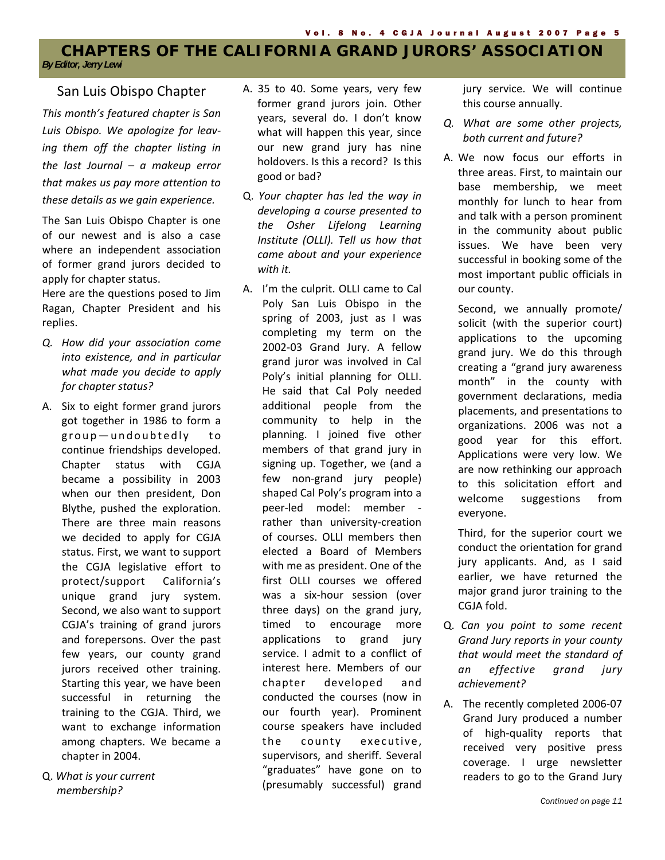#### **CHAPTERS OF THE CALIFORNIA GRAND JURORS' ASSOCIATION**  *By Editor, Jerry Lewi*

*This month's featured chapter is San Luis Obispo. We apologize for leav‐ ing them off the chapter listing in the last Journal – a makeup error that makes us pay more attention to these details as we gain experience.*

The San Luis Obispo Chapter is one of our newest and is also a case where an independent association of former grand jurors decided to apply for chapter status.

Here are the questions posed to Jim Ragan, Chapter President and his replies.

- *Q. How did your association come into existence, and in particular what made you decide to apply for chapter status?*
- A. Six to eight former grand jurors got together in 1986 to form a group-undoubtedly to continue friendships developed. Chapter status with CGJA became a possibility in 2003 when our then president, Don Blythe, pushed the exploration. There are three main reasons we decided to apply for CGJA status. First, we want to support the CGJA legislative effort to protect/support California's unique grand jury system. Second, we also want to support CGJA's training of grand jurors and forepersons. Over the past few years, our county grand jurors received other training. Starting this year, we have been successful in returning the training to the CGJA. Third, we want to exchange information among chapters. We became a chapter in 2004.
- Q. *What is your current membership?*
- San Luis Obispo Chapter A. 35 to 40. Some years, very few former grand jurors join. Other years, several do. I don't know what will happen this year, since our new grand jury has nine holdovers. Is this a record? Is this good or bad?
	- Q. *Your chapter has led the way in developing a course presented to the Osher Lifelong Learning Institute (OLLI). Tell us how that came about and your experience with it.*
	- A. I'm the culprit. OLLI came to Cal Poly San Luis Obispo in the spring of 2003, just as I was completing my term on the 2002‐03 Grand Jury. A fellow grand juror was involved in Cal Poly's initial planning for OLLI. He said that Cal Poly needed additional people from the community to help in the planning. I joined five other members of that grand jury in signing up. Together, we (and a few non-grand jury people) shaped Cal Poly's program into a peer‐led model: member ‐ rather than university‐creation of courses. OLLI members then elected a Board of Members with me as president. One of the first OLLI courses we offered was a six‐hour session (over three days) on the grand jury, timed to encourage more applications to grand jury service. I admit to a conflict of interest here. Members of our chapter developed and conducted the courses (now in our fourth year). Prominent course speakers have included the county executive, supervisors, and sheriff. Several "graduates" have gone on to (presumably successful) grand

jury service. We will continue this course annually.

- *Q. What are some other projects, both current and future?*
- A. We now focus our efforts in three areas. First, to maintain our base membership, we meet monthly for lunch to hear from and talk with a person prominent in the community about public issues. We have been very successful in booking some of the most important public officials in our county.

Second, we annually promote/ solicit (with the superior court) applications to the upcoming grand jury. We do this through creating a "grand jury awareness month" in the county with government declarations, media placements, and presentations to organizations. 2006 was not a good year for this effort. Applications were very low. We are now rethinking our approach to this solicitation effort and welcome suggestions from everyone.

Third, for the superior court we conduct the orientation for grand jury applicants. And, as I said earlier, we have returned the major grand juror training to the CGJA fold.

- Q. *Can you point to some recent Grand Jury reports in your county that would meet the standard of an effective grand jury achievement?*
- A. The recently completed 2006‐07 Grand Jury produced a number of high‐quality reports that received very positive press coverage. I urge newsletter readers to go to the Grand Jury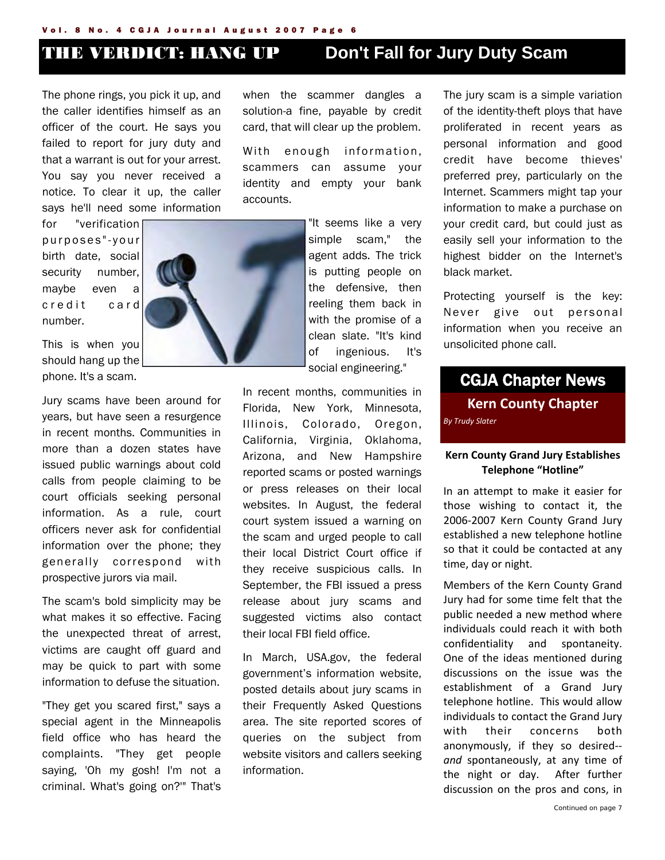#### Vol. 8 No. 4 CGJA Journal August 2007 Page 6

The phone rings, you pick it up, and the caller identifies himself as an officer of the court. He says you failed to report for jury duty and that a warrant is out for your arrest. You say you never received a notice. To clear it up, the caller says he'll need some information

for "verification p u r p o s e s " - y o u r birth date, social security number, maybe even a c r e d it c a r d number.

This is when you should hang up the phone. It's a scam.

Jury scams have been around for years, but have seen a resurgence in recent months. Communities in more than a dozen states have issued public warnings about cold calls from people claiming to be court officials seeking personal information. As a rule, court officers never ask for confidential information over the phone; they generally correspond with prospective jurors via mail.

The scam's bold simplicity may be what makes it so effective. Facing the unexpected threat of arrest, victims are caught off guard and may be quick to part with some information to defuse the situation.

"They get you scared first," says a special agent in the Minneapolis field office who has heard the complaints. "They get people saying, 'Oh my gosh! I'm not a criminal. What's going on?'" That's when the scammer dangles a solution-a fine, payable by credit card, that will clear up the problem.

With enough information, scammers can assume your identity and empty your bank accounts.

> "It seems like a very simple scam," the agent adds. The trick is putting people on the defensive, then reeling them back in with the promise of a clean slate. "It's kind of ingenious. It's social engineering."

In recent months, communities in Florida, New York, Minnesota, Illinois, Colorado, Oregon, California, Virginia, Oklahoma, Arizona, and New Hampshire reported scams or posted warnings or press releases on their local websites. In August, the federal court system issued a warning on the scam and urged people to call their local District Court office if they receive suspicious calls. In September, the FBI issued a press release about jury scams and suggested victims also contact their local FBI field office.

In March, USA.gov, the federal government's information website, posted details about jury scams in their Frequently Asked Questions area. The site reported scores of queries on the subject from website visitors and callers seeking information.

The jury scam is a simple variation of the identity-theft ploys that have proliferated in recent years as personal information and good credit have become thieves' preferred prey, particularly on the Internet. Scammers might tap your information to make a purchase on your credit card, but could just as easily sell your information to the highest bidder on the Internet's black market.

Protecting yourself is the key: Never give out personal information when you receive an unsolicited phone call.

# **Kern County Chapter** *By Trudy Slater* CGJA Chapter News

#### **Kern County Grand Jury Establishes Telephone "Hotline"**

In an attempt to make it easier for those wishing to contact it, the 2006‐2007 Kern County Grand Jury established a new telephone hotline so that it could be contacted at any time, day or night.

Members of the Kern County Grand Jury had for some time felt that the public needed a new method where individuals could reach it with both confidentiality and spontaneity. One of the ideas mentioned during discussions on the issue was the establishment of a Grand Jury telephone hotline. This would allow individuals to contact the Grand Jury with their concerns both anonymously, if they so desired‐‐ *and* spontaneously, at any time of the night or day. After further discussion on the pros and cons, in





# THE VERDICT: HANG UP **Don't Fall for Jury Duty Scam**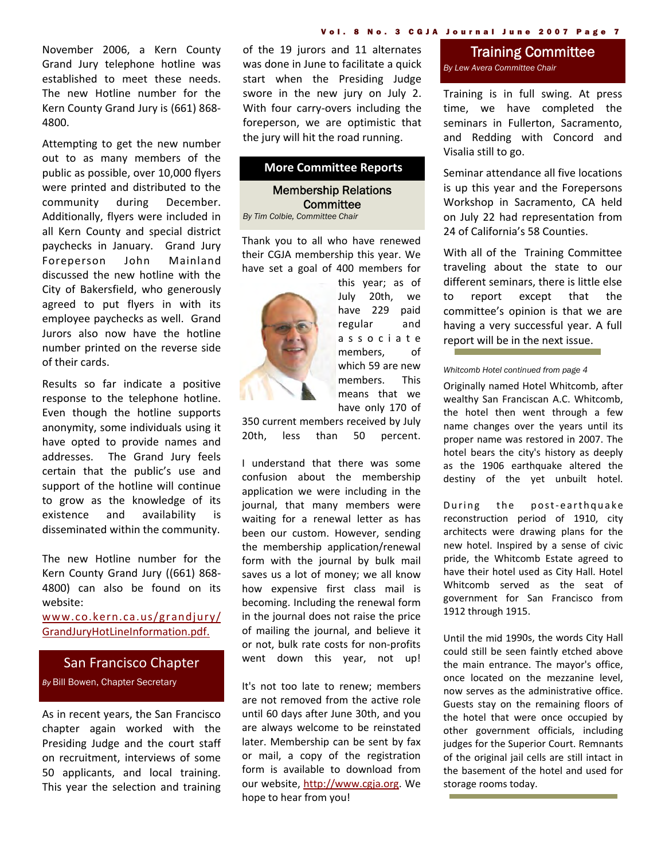November 2006, a Kern County Grand Jury telephone hotline was established to meet these needs. The new Hotline number for the Kern County Grand Jury is (661) 868‐ 4800.

Attempting to get the new number out to as many members of the public as possible, over 10,000 flyers were printed and distributed to the community during December. Additionally, flyers were included in all Kern County and special district paychecks in January. Grand Jury Foreperson John Mainland discussed the new hotline with the City of Bakersfield, who generously agreed to put flyers in with its employee paychecks as well. Grand Jurors also now have the hotline number printed on the reverse side of their cards.

Results so far indicate a positive response to the telephone hotline. Even though the hotline supports anonymity, some individuals using it have opted to provide names and addresses. The Grand Jury feels certain that the public's use and support of the hotline will continue to grow as the knowledge of its existence and availability is disseminated within the community.

The new Hotline number for the Kern County Grand Jury ((661) 868‐ 4800) can also be found on its website:

www.co.kern.ca.us/grandjury/ GrandJuryHotLineInformation.pdf.

#### San Francisco Chapter

*By* Bill Bowen, Chapter Secretary

As in recent years, the San Francisco chapter again worked with the Presiding Judge and the court staff on recruitment, interviews of some 50 applicants, and local training. This year the selection and training of the 19 jurors and 11 alternates was done in June to facilitate a quick start when the Presiding Judge swore in the new jury on July 2. With four carry‐overs including the foreperson, we are optimistic that the jury will hit the road running.

#### **More Committee Reports**

Membership Relations **Committee** *By Tim Colbie, Committee Chair* 

Thank you to all who have renewed their CGJA membership this year. We have set a goal of 400 members for



this year; as of July 20th, we have 229 paid regular and associate members, of which 59 are new members. This means that we have only 170 of

350 current members received by July 20th, less than 50 percent.

I understand that there was some confusion about the membership application we were including in the journal, that many members were waiting for a renewal letter as has been our custom. However, sending the membership application/renewal form with the journal by bulk mail saves us a lot of money; we all know how expensive first class mail is becoming. Including the renewal form in the journal does not raise the price of mailing the journal, and believe it or not, bulk rate costs for non‐profits went down this year, not up!

It's not too late to renew; members are not removed from the active role until 60 days after June 30th, and you are always welcome to be reinstated later. Membership can be sent by fax or mail, a copy of the registration form is available to download from our website, http://www.cgja.org. We hope to hear from you!

#### Training Committee *By Lew Avera Committee Chair*

Training is in full swing. At press time, we have completed the seminars in Fullerton, Sacramento, and Redding with Concord and Visalia still to go.

Seminar attendance all five locations is up this year and the Forepersons Workshop in Sacramento, CA held on July 22 had representation from 24 of California's 58 Counties.

With all of the Training Committee traveling about the state to our different seminars, there is little else to report except that the committee's opinion is that we are having a very successful year. A full report will be in the next issue.

*Whitcomb Hotel continued from page 4* 

Originally named Hotel Whitcomb, after wealthy San Franciscan A.C. Whitcomb, the hotel then went through a few name changes over the years until its proper name was restored in 2007. The hotel bears the city's history as deeply as the 1906 earthquake altered the destiny of the yet unbuilt hotel.

During the post-earthquake reconstruction period of 1910, city architects were drawing plans for the new hotel. Inspired by a sense of civic pride, the Whitcomb Estate agreed to have their hotel used as City Hall. Hotel Whitcomb served as the seat of government for San Francisco from 1912 through 1915.

Until the mid 1990s, the words City Hall could still be seen faintly etched above the main entrance. The mayor's office, once located on the mezzanine level, now serves as the administrative office. Guests stay on the remaining floors of the hotel that were once occupied by other government officials, including judges for the Superior Court. Remnants of the original jail cells are still intact in the basement of the hotel and used for storage rooms today.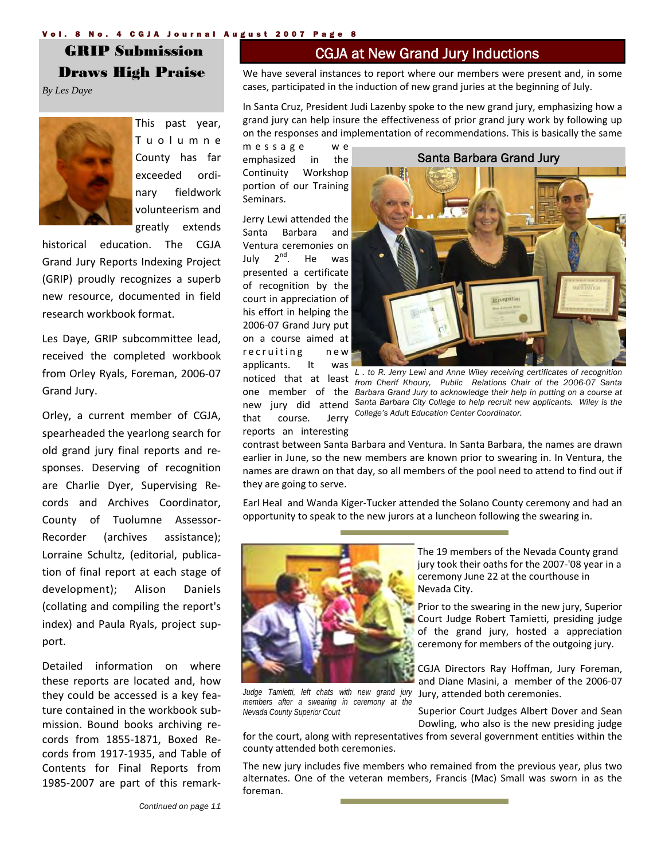#### Vol. 8 No. 4 CGJA Journal August 2007 Page 8

 GRIP Submission Draws High Praise

*By Les Daye* 



This past year, Tuolumne County has far exceeded ordi‐ nary fieldwork volunteerism and greatly extends

historical education. The CGJA Grand Jury Reports Indexing Project (GRIP) proudly recognizes a superb new resource, documented in field research workbook format.

Les Daye, GRIP subcommittee lead, received the completed workbook from Orley Ryals, Foreman, 2006‐07 Grand Jury.

Orley, a current member of CGJA, spearheaded the yearlong search for old grand jury final reports and re‐ sponses. Deserving of recognition are Charlie Dyer, Supervising Re‐ cords and Archives Coordinator, County of Tuolumne Assessor‐ Recorder (archives assistance); Lorraine Schultz, (editorial, publica‐ tion of final report at each stage of development); Alison Daniels (collating and compiling the report's index) and Paula Ryals, project sup‐ port.

Detailed information on where these reports are located and, how they could be accessed is a key fea‐ ture contained in the workbook sub‐ mission. Bound books archiving re‐ cords from 1855‐1871, Boxed Re‐ cords from 1917‐1935, and Table of Contents for Final Reports from 1985‐2007 are part of this remark‐

#### CGJA at New Grand Jury Inductions

We have several instances to report where our members were present and, in some cases, participated in the induction of new grand juries at the beginning of July.

In Santa Cruz, President Judi Lazenby spoke to the new grand jury, emphasizing how a grand jury can help insure the effectiveness of prior grand jury work by following up on the responses and implementation of recommendations. This is basically the same

message w e emphasized in the Continuity Workshop portion of our Training Seminars.

Jerry Lewi attended the Santa Barbara and Ventura ceremonies on July  $2^{nd}$ . He was presented a certificate of recognition by the court in appreciation of his effort in helping the 2006‐07 Grand Jury put on a course aimed at recruiting new applicants. It was that course. Jerry reports an interesting



noticed that at least *from Cherif Khoury, Public Relations Chair of the 2006-07 Santa*  one member of the *Barbara Grand Jury to acknowledge their help in putting on a course at*  new jury did attend *Santa Barbara City College to help recruit new applicants. Wiley is the L . to R. Jerry Lewi and Anne Wiley receiving certificates of recognition College's Adult Education Center Coordinator.* 

contrast between Santa Barbara and Ventura. In Santa Barbara, the names are drawn earlier in June, so the new members are known prior to swearing in. In Ventura, the names are drawn on that day, so all members of the pool need to attend to find out if they are going to serve.

Earl Heal and Wanda Kiger‐Tucker attended the Solano County ceremony and had an opportunity to speak to the new jurors at a luncheon following the swearing in.



*Judge Tamietti, left chats with new grand jury members after a swearing in ceremony at the Nevada County Superior Court* 

The 19 members of the Nevada County grand jury took their oaths for the 2007‐'08 year in a ceremony June 22 at the courthouse in Nevada City.

Prior to the swearing in the new jury, Superior Court Judge Robert Tamietti, presiding judge of the grand jury, hosted a appreciation ceremony for members of the outgoing jury.

CGJA Directors Ray Hoffman, Jury Foreman, and Diane Masini, a member of the 2006‐07 Jury, attended both ceremonies.

Superior Court Judges Albert Dover and Sean Dowling, who also is the new presiding judge

for the court, along with representatives from several government entities within the county attended both ceremonies.

The new jury includes five members who remained from the previous year, plus two alternates. One of the veteran members, Francis (Mac) Small was sworn in as the foreman.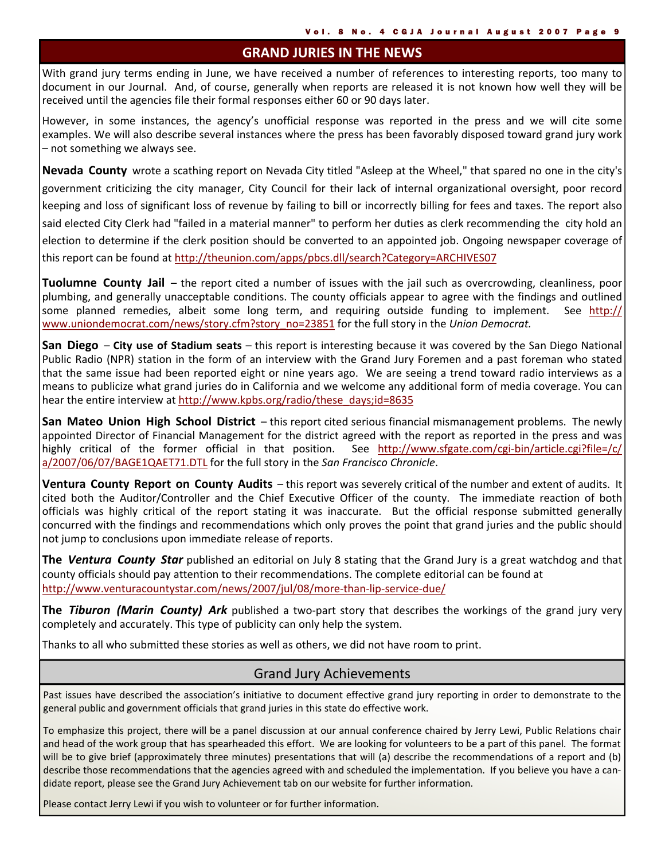#### **GRAND JURIES IN THE NEWS**

With grand jury terms ending in June, we have received a number of references to interesting reports, too many to document in our Journal. And, of course, generally when reports are released it is not known how well they will be received until the agencies file their formal responses either 60 or 90 days later.

However, in some instances, the agency's unofficial response was reported in the press and we will cite some examples. We will also describe several instances where the press has been favorably disposed toward grand jury work – not something we always see.

**Nevada County** wrote a scathing report on Nevada City titled "Asleep at the Wheel," that spared no one in the city's government criticizing the city manager, City Council for their lack of internal organizational oversight, poor record keeping and loss of significant loss of revenue by failing to bill or incorrectly billing for fees and taxes. The report also said elected City Clerk had "failed in a material manner" to perform her duties as clerk recommending the city hold an election to determine if the clerk position should be converted to an appointed job. Ongoing newspaper coverage of this report can be found at http://theunion.com/apps/pbcs.dll/search?Category=ARCHIVES07

**Tuolumne County Jail** – the report cited a number of issues with the jail such as overcrowding, cleanliness, poor plumbing, and generally unacceptable conditions. The county officials appear to agree with the findings and outlined some planned remedies, albeit some long term, and requiring outside funding to implement. See http:// www.uniondemocrat.com/news/story.cfm?story\_no=23851 for the full story in the *Union Democrat.*

**San Diego** – **City use of Stadium seats** – this report is interesting because it was covered by the San Diego National Public Radio (NPR) station in the form of an interview with the Grand Jury Foremen and a past foreman who stated that the same issue had been reported eight or nine years ago. We are seeing a trend toward radio interviews as a means to publicize what grand juries do in California and we welcome any additional form of media coverage. You can hear the entire interview at http://www.kpbs.org/radio/these\_days;id=8635

**San Mateo Union High School District** – this report cited serious financial mismanagement problems. The newly appointed Director of Financial Management for the district agreed with the report as reported in the press and was highly critical of the former official in that position. See http://www.sfgate.com/cgi-bin/article.cgi?file=/c/ a/2007/06/07/BAGE1QAET71.DTL for the full story in the *San Francisco Chronicle*.

**Ventura County Report on County Audits** – this report was severely critical of the number and extent of audits. It cited both the Auditor/Controller and the Chief Executive Officer of the county. The immediate reaction of both officials was highly critical of the report stating it was inaccurate. But the official response submitted generally concurred with the findings and recommendations which only proves the point that grand juries and the public should not jump to conclusions upon immediate release of reports.

**The** *Ventura County Star* published an editorial on July 8 stating that the Grand Jury is a great watchdog and that county officials should pay attention to their recommendations. The complete editorial can be found at http://www.venturacountystar.com/news/2007/jul/08/more‐than‐lip‐service‐due/

**The** *Tiburon (Marin County) Ark* published a two‐part story that describes the workings of the grand jury very completely and accurately. This type of publicity can only help the system.

Thanks to all who submitted these stories as well as others, we did not have room to print.

### Grand Jury Achievements

Past issues have described the association's initiative to document effective grand jury reporting in order to demonstrate to the general public and government officials that grand juries in this state do effective work.

To emphasize this project, there will be a panel discussion at our annual conference chaired by Jerry Lewi, Public Relations chair and head of the work group that has spearheaded this effort. We are looking for volunteers to be a part of this panel. The format will be to give brief (approximately three minutes) presentations that will (a) describe the recommendations of a report and (b) describe those recommendations that the agencies agreed with and scheduled the implementation. If you believe you have a candidate report, please see the Grand Jury Achievement tab on our website for further information.

Please contact Jerry Lewi if you wish to volunteer or for further information.

í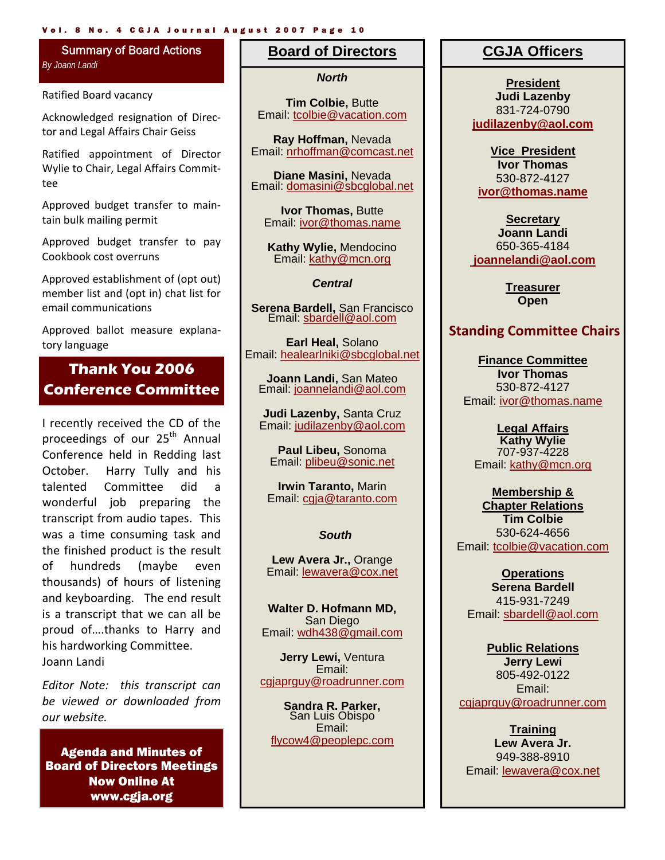#### Vol. 8 No. 4 CGJA Journal August 2007 Page 10

#### Summary of Board Actions *By Joann Landi*

Ratified Board vacancy

Acknowledged resignation of Direc‐ tor and Legal Affairs Chair Geiss

Ratified appointment of Director Wylie to Chair, Legal Affairs Commit‐ tee

Approved budget transfer to main‐ tain bulk mailing permit

Approved budget transfer to pay Cookbook cost overruns

Approved establishment of (opt out) member list and (opt in) chat list for email communications

Approved ballot measure explana‐ tory language

# **Thank You 2006 Conference Committee**

I recently received the CD of the proceedings of our 25<sup>th</sup> Annual Conference held in Redding last October. Harry Tully and his talented Committee did a wonderful job preparing the transcript from audio tapes. This was a time consuming task and the finished product is the result of hundreds (maybe even thousands) of hours of listening and keyboarding. The end result is a transcript that we can all be proud of….thanks to Harry and his hardworking Committee. Joann Landi

*Editor Note: this transcript can be viewed or downloaded from our website.*

Agenda and Minutes of Board of Directors Meetings Now Online At www.cgja.org

#### **Board of Directors**

*North*

**Tim Colbie,** Butte Email: tcolbie@vacation.com

**Ray Hoffman,** Nevada Email: nrhoffman@comcast.net

**Diane Masini,** Nevada Email: domasini@sbcglobal.net

**Ivor Thomas,** Butte Email: ivor@thomas.name

**Kathy Wylie,** Mendocino Email: kathy@mcn.org

*Central* 

**Serena Bardell,** San Francisco Email: sbardell@aol.com

**Earl Heal,** Solano Email: healearlniki@sbcglobal.net

**Joann Landi,** San Mateo Email: joannelandi@aol.com

**Judi Lazenby,** Santa Cruz Email: judilazenby@aol.com

**Paul Libeu,** Sonoma Email: plibeu@sonic.net

**Irwin Taranto,** Marin Email: cgja@taranto.com

#### *South*

**Lew Avera Jr.,** Orange Email: lewavera@cox.net

**Walter D. Hofmann MD,**  San Diego Email: wdh438@gmail.com

**Jerry Lewi,** Ventura Email: cgjaprguy@roadrunner.com

**Sandra R. Parker,**  San Luis Obispo Email: flycow4@peoplepc.com

#### **CGJA Officers**

**President Judi Lazenby**  831-724-0790 **judilazenby@aol.com**

**Vice President Ivor Thomas**  530-872-4127 **ivor@thomas.name**

**Secretary Joann Landi** 650-365-4184  **joannelandi@aol.com** 

> **Treasurer Open**

#### **Standing Committee Chairs**

**Finance Committee Ivor Thomas**  530-872-4127 Email: ivor@thomas.name

**Legal Affairs Kathy Wylie**  707-937-4228 Email: kathy@mcn.org

**Membership & Chapter Relations Tim Colbie**  530-624-4656

Email: tcolbie@vacation.com

**Operations Serena Bardell**  415-931-7249 Email: sbardell@aol.com

**Public Relations Jerry Lewi**  805-492-0122 Email: cgjaprguy@roadrunner.com

**Training Lew Avera Jr.**  949-388-8910 Email: lewavera@cox.net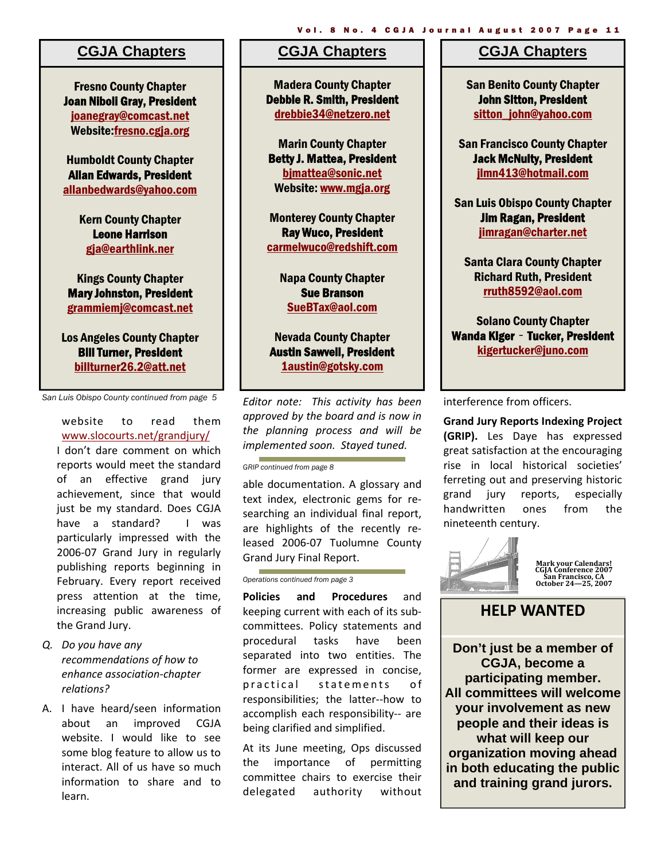#### **CGJA Chapters**

Fresno County Chapter Joan Niboli Gray, President joanegray@comcast.net Website:fresno.cgja.org

Humboldt County Chapter Allan Edwards, President allanbedwards@yahoo.com

> Kern County Chapter Leone Harrison gja@earthlink.ner

Kings County Chapter Mary Johnston, President grammiemj@comcast.net

Los Angeles County Chapter Bill Turner, President billturner26.2@att.net

*San Luis Obispo County continued from page 5* 

website to read them www.slocourts.net/grandjury/ I don't dare comment on which reports would meet the standard of an effective grand jury achievement, since that would just be my standard. Does CGJA have a standard? I was particularly impressed with the 2006‐07 Grand Jury in regularly publishing reports beginning in February. Every report received press attention at the time, increasing public awareness of the Grand Jury.

- *Q. Do you have any recommendations of how to enhance association‐chapter relations?*
- A. I have heard/seen information about an improved CGJA website. I would like to see some blog feature to allow us to interact. All of us have so much information to share and to learn.

#### **CGJA Chapters**

Madera County Chapter Debbie R. Smith, President drebbie34@netzero.net

Marin County Chapter Betty J. Mattea, President bjmattea@sonic.net Website: www.mgja.org

Monterey County Chapter Ray Wuco, President carmelwuco@redshift.com

> Napa County Chapter Sue Branson SueBTax@aol.com

Nevada County Chapter Austin Sawvell, President 1austin@gotsky.com

*Editor note: This activity has been approved by the board and is now in the planning process and will be implemented soon. Stayed tuned.*

*GRIP continued from page 8* 

able documentation. A glossary and text index, electronic gems for re‐ searching an individual final report, are highlights of the recently re‐ leased 2006‐07 Tuolumne County Grand Jury Final Report.

#### *Operations continued from page 3*

**Policies and Procedures** and keeping current with each of its sub‐ committees. Policy statements and procedural tasks have been separated into two entities. The former are expressed in concise, practical statements of responsibilities; the latter‐‐how to accomplish each responsibility-- are being clarified and simplified.

At its June meeting, Ops discussed the importance of permitting committee chairs to exercise their delegated authority without

#### **CGJA Chapters**

Vol. 8 No. 4 CGJA Journal August 2007 Page 11

San Benito County Chapter John Sitton, President sitton\_john@yahoo.com

San Francisco County Chapter Jack McNulty, President jlmn413@hotmail.com

San Luis Obispo County Chapter Jim Ragan, President jimragan@charter.net

Santa Clara County Chapter Richard Ruth, President rruth8592@aol.com

Solano County Chapter Wanda Kiger - Tucker, President kigertucker@juno.com

interference from officers.

**Grand Jury Reports Indexing Project (GRIP).** Les Daye has expressed great satisfaction at the encouraging rise in local historical societies' ferreting out and preserving historic grand jury reports, especially handwritten ones from the nineteenth century.



**Mark your Calendars! CGJA Conference 2007 San Francisco, CA October 24—25, 2007**

# **HELP WANTED**

**Don't just be a member of CGJA, become a participating member. All committees will welcome your involvement as new people and their ideas is what will keep our organization moving ahead in both educating the public and training grand jurors.**